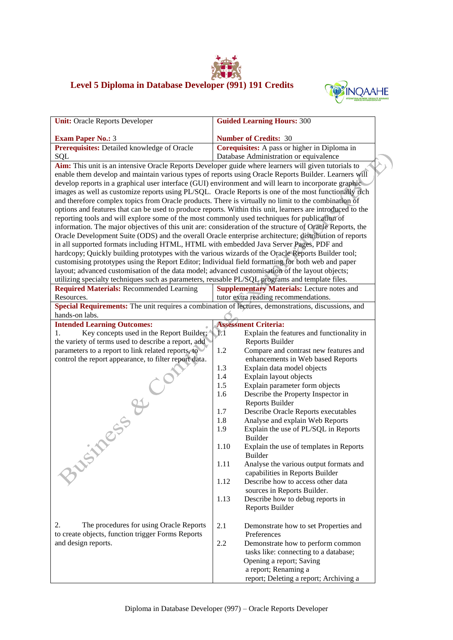## **Level 5 Diploma in Database Developer (991) 191 Credits**



 $\Lambda$ 

| <b>Unit: Oracle Reports Developer</b>                                                                      | <b>Guided Learning Hours: 300</b>                            |  |
|------------------------------------------------------------------------------------------------------------|--------------------------------------------------------------|--|
| <b>Exam Paper No.: 3</b>                                                                                   | <b>Number of Credits: 30</b>                                 |  |
| Prerequisites: Detailed knowledge of Oracle                                                                | Corequisites: A pass or higher in Diploma in                 |  |
| SQL                                                                                                        | Database Administration or equivalence                       |  |
| Aim: This unit is an intensive Oracle Reports Developer guide where learners will given tutorials to       |                                                              |  |
| enable them develop and maintain various types of reports using Oracle Reports Builder. Learners will      |                                                              |  |
| develop reports in a graphical user interface (GUI) environment and will learn to incorporate graphic      |                                                              |  |
| images as well as customize reports using PL/SQL. Oracle Reports is one of the most functionally rich      |                                                              |  |
| and therefore complex topics from Oracle products. There is virtually no limit to the combination of       |                                                              |  |
| options and features that can be used to produce reports. Within this unit, learners are introduced to the |                                                              |  |
| reporting tools and will explore some of the most commonly used techniques for publication of              |                                                              |  |
| information. The major objectives of this unit are: consideration of the structure of Oracle Reports, the  |                                                              |  |
| Oracle Development Suite (ODS) and the overall Oracle enterprise architecture; distribution of reports     |                                                              |  |
| in all supported formats including HTML, HTML with embedded Java Server Pages, PDF and                     |                                                              |  |
| hardcopy; Quickly building prototypes with the various wizards of the Oracle Reports Builder tool;         |                                                              |  |
| customising prototypes using the Report Editor; Individual field formatting for both web and paper         |                                                              |  |
| layout; advanced customisation of the data model; advanced customisation of the layout objects;            |                                                              |  |
| utilizing specialty techniques such as parameters, reusable PL/SQL programs and template files.            |                                                              |  |
| <b>Required Materials: Recommended Learning</b>                                                            | <b>Supplementary Materials:</b> Lecture notes and            |  |
| Resources.                                                                                                 | tutor extra reading recommendations.                         |  |
| Special Requirements: The unit requires a combination of lectures, demonstrations, discussions, and        |                                                              |  |
| hands-on labs.                                                                                             |                                                              |  |
| <b>Intended Learning Outcomes:</b>                                                                         | <b>Assessment Criteria:</b>                                  |  |
| Key concepts used in the Report Builder;<br>1.                                                             | 1/1<br>Explain the features and functionality in             |  |
| the variety of terms used to describe a report, add                                                        | Reports Builder                                              |  |
| parameters to a report to link related reports, to                                                         | 1.2<br>Compare and contrast new features and                 |  |
| control the report appearance, to filter report data.                                                      | enhancements in Web based Reports                            |  |
|                                                                                                            | 1.3<br>Explain data model objects                            |  |
|                                                                                                            | Explain layout objects<br>1.4                                |  |
|                                                                                                            | 1.5<br>Explain parameter form objects                        |  |
| $C_{\mathcal{O}}$<br><b>IRESS &amp;</b>                                                                    | Describe the Property Inspector in<br>1.6<br>Reports Builder |  |
|                                                                                                            | 1.7<br>Describe Oracle Reports executables                   |  |
|                                                                                                            | 1.8<br>Analyse and explain Web Reports                       |  |
|                                                                                                            | Explain the use of PL/SQL in Reports<br>1.9                  |  |
|                                                                                                            | <b>Builder</b>                                               |  |
|                                                                                                            | 1.10<br>Explain the use of templates in Reports              |  |
|                                                                                                            | <b>Builder</b>                                               |  |
|                                                                                                            | 1.11<br>Analyse the various output formats and               |  |
|                                                                                                            | capabilities in Reports Builder                              |  |
|                                                                                                            | 1.12<br>Describe how to access other data                    |  |
|                                                                                                            | sources in Reports Builder.                                  |  |
|                                                                                                            | 1.13<br>Describe how to debug reports in                     |  |
|                                                                                                            | Reports Builder                                              |  |
|                                                                                                            |                                                              |  |
| 2.<br>The procedures for using Oracle Reports                                                              | 2.1<br>Demonstrate how to set Properties and                 |  |
| to create objects, function trigger Forms Reports                                                          | Preferences                                                  |  |
| and design reports.                                                                                        | 2.2<br>Demonstrate how to perform common                     |  |
|                                                                                                            | tasks like: connecting to a database;                        |  |
|                                                                                                            | Opening a report; Saving                                     |  |
|                                                                                                            | a report; Renaming a                                         |  |
|                                                                                                            | report; Deleting a report; Archiving a                       |  |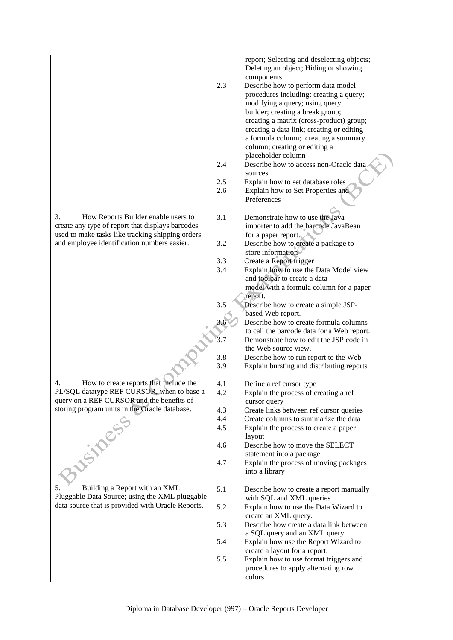|                                                   |            | report; Selecting and deselecting objects;<br>Deleting an object; Hiding or showing |
|---------------------------------------------------|------------|-------------------------------------------------------------------------------------|
|                                                   |            | components                                                                          |
|                                                   | 2.3        | Describe how to perform data model                                                  |
|                                                   |            | procedures including: creating a query;                                             |
|                                                   |            | modifying a query; using query                                                      |
|                                                   |            | builder; creating a break group;<br>creating a matrix (cross-product) group;        |
|                                                   |            | creating a data link; creating or editing                                           |
|                                                   |            | a formula column; creating a summary                                                |
|                                                   |            | column; creating or editing a                                                       |
|                                                   |            | placeholder column                                                                  |
|                                                   | 2.4        | Describe how to access non-Oracle data<br>sources                                   |
|                                                   | 2.5        | Explain how to set database roles                                                   |
|                                                   | 2.6        | Explain how to Set Properties and                                                   |
|                                                   |            | Preferences                                                                         |
| 3.<br>How Reports Builder enable users to         | 3.1        | Demonstrate how to use the Java                                                     |
| create any type of report that displays barcodes  |            | importer to add the barcode JavaBean                                                |
| used to make tasks like tracking shipping orders  |            | for a paper report.                                                                 |
| and employee identification numbers easier.       | 3.2        | Describe how to create a package to                                                 |
|                                                   | 3.3        | store information<br>Create a Report trigger                                        |
|                                                   | 3.4        | Explain how to use the Data Model view                                              |
|                                                   |            | and toolbar to create a data                                                        |
|                                                   |            | model with a formula column for a paper                                             |
|                                                   |            | report.                                                                             |
|                                                   | 3.5        | Describe how to create a simple JSP-<br>based Web report.                           |
|                                                   | 3.6        | Describe how to create formula columns                                              |
|                                                   |            | to call the barcode data for a Web report.                                          |
|                                                   | 3.7        | Demonstrate how to edit the JSP code in                                             |
|                                                   |            | the Web source view.                                                                |
|                                                   | 3.8<br>3.9 | Describe how to run report to the Web<br>Explain bursting and distributing reports  |
|                                                   |            |                                                                                     |
| How to create reports that include the<br>4.      | 4.1        | Define a ref cursor type                                                            |
| PL/SQL datatype REF CURSOR, when to base a        | 4.2        | Explain the process of creating a ref                                               |
| query on a REF CURSOR and the benefits of         |            | cursor query                                                                        |
| storing program units in the Oracle database.     | 4.3        | Create links between ref cursor queries                                             |
|                                                   | 4.4<br>4.5 | Create columns to summarize the data<br>Explain the process to create a paper       |
|                                                   |            | layout                                                                              |
|                                                   | 4.6        | Describe how to move the SELECT                                                     |
|                                                   |            | statement into a package                                                            |
|                                                   | 4.7        | Explain the process of moving packages                                              |
| Ausiness.                                         |            | into a library                                                                      |
| Building a Report with an XML<br>5.               | 5.1        | Describe how to create a report manually                                            |
| Pluggable Data Source; using the XML pluggable    |            | with SQL and XML queries                                                            |
| data source that is provided with Oracle Reports. | 5.2        | Explain how to use the Data Wizard to                                               |
|                                                   |            | create an XML query.                                                                |
|                                                   | 5.3        | Describe how create a data link between<br>a SQL query and an XML query.            |
|                                                   | 5.4        | Explain how use the Report Wizard to                                                |
|                                                   |            | create a layout for a report.                                                       |
|                                                   | 5.5        | Explain how to use format triggers and                                              |
|                                                   |            | procedures to apply alternating row                                                 |
|                                                   |            | colors.                                                                             |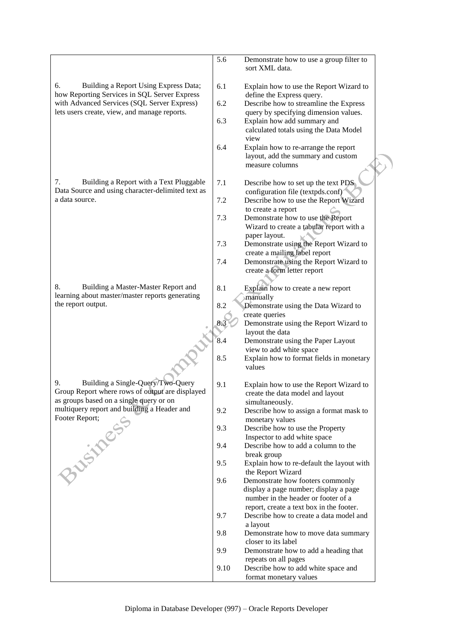|                                                                                                    | 5.6  | Demonstrate how to use a group filter to<br>sort XML data.                                                             |
|----------------------------------------------------------------------------------------------------|------|------------------------------------------------------------------------------------------------------------------------|
| 6.<br>Building a Report Using Express Data;<br>how Reporting Services in SQL Server Express        | 6.1  | Explain how to use the Report Wizard to<br>define the Express query.                                                   |
| with Advanced Services (SQL Server Express)<br>lets users create, view, and manage reports.        | 6.2  | Describe how to streamline the Express                                                                                 |
|                                                                                                    | 6.3  | query by specifying dimension values.<br>Explain how add summary and<br>calculated totals using the Data Model<br>view |
|                                                                                                    | 6.4  | Explain how to re-arrange the report<br>layout, add the summary and custom<br>measure columns                          |
| Building a Report with a Text Pluggable<br>7.<br>Data Source and using character-delimited text as | 7.1  | Describe how to set up the text PDS<br>configuration file (textpds.conf)                                               |
| a data source.                                                                                     | 7.2  | Describe how to use the Report Wizard<br>to create a report                                                            |
|                                                                                                    | 7.3  | Demonstrate how to use the Report<br>Wizard to create a tabular report with a                                          |
|                                                                                                    | 7.3  | paper layout.<br>Demonstrate using the Report Wizard to<br>create a mailing label report                               |
|                                                                                                    | 7.4  | Demonstrate using the Report Wizard to<br>create a form letter report                                                  |
| 8.<br>Building a Master-Master Report and                                                          | 8.1  | Explain how to create a new report                                                                                     |
| learning about master/master reports generating<br>the report output.                              | 8.2  | manually<br>Demonstrate using the Data Wizard to                                                                       |
|                                                                                                    |      | create queries<br>Demonstrate using the Report Wizard to                                                               |
|                                                                                                    |      | layout the data                                                                                                        |
|                                                                                                    | 8.4  | Demonstrate using the Paper Layout<br>view to add white space                                                          |
|                                                                                                    | 8.5  | Explain how to format fields in monetary<br>values                                                                     |
| 9.<br>Building a Single-Query/Two-Query<br>Group Report where rows of output are displayed         | 9.1  | Explain how to use the Report Wizard to<br>create the data model and layout                                            |
| as groups based on a single query or on<br>multiquery report and building a Header and             |      | simultaneously.                                                                                                        |
| Footer Report;                                                                                     | 9.2  | Describe how to assign a format mask to<br>monetary values                                                             |
|                                                                                                    | 9.3  | Describe how to use the Property                                                                                       |
|                                                                                                    | 9.4  | Inspector to add white space<br>Describe how to add a column to the                                                    |
| BUSINES                                                                                            |      | break group                                                                                                            |
|                                                                                                    | 9.5  | Explain how to re-default the layout with<br>the Report Wizard                                                         |
|                                                                                                    | 9.6  | Demonstrate how footers commonly                                                                                       |
|                                                                                                    |      | display a page number; display a page<br>number in the header or footer of a                                           |
|                                                                                                    |      | report, create a text box in the footer.                                                                               |
|                                                                                                    | 9.7  | Describe how to create a data model and                                                                                |
|                                                                                                    | 9.8  | a layout<br>Demonstrate how to move data summary                                                                       |
|                                                                                                    |      | closer to its label                                                                                                    |
|                                                                                                    | 9.9  | Demonstrate how to add a heading that<br>repeats on all pages                                                          |
|                                                                                                    | 9.10 | Describe how to add white space and                                                                                    |
|                                                                                                    |      | format monetary values                                                                                                 |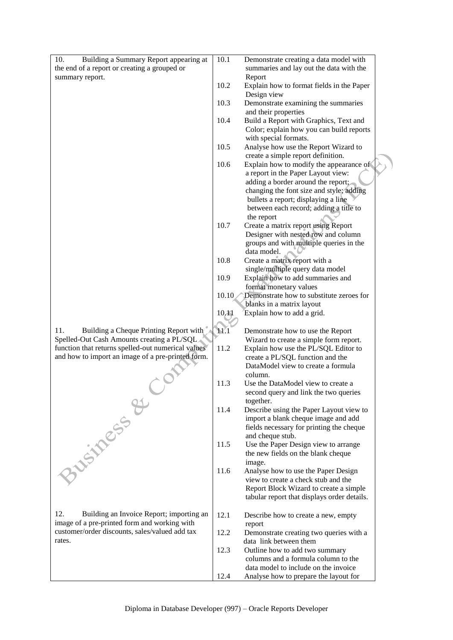| Building a Summary Report appearing at<br>10.                                                   | 10.1  | Demonstrate creating a data model with                                          |
|-------------------------------------------------------------------------------------------------|-------|---------------------------------------------------------------------------------|
| the end of a report or creating a grouped or                                                    |       | summaries and lay out the data with the                                         |
| summary report.                                                                                 | 10.2  | Report<br>Explain how to format fields in the Paper                             |
|                                                                                                 |       | Design view                                                                     |
|                                                                                                 | 10.3  | Demonstrate examining the summaries                                             |
|                                                                                                 |       | and their properties                                                            |
|                                                                                                 | 10.4  | Build a Report with Graphics, Text and                                          |
|                                                                                                 |       | Color; explain how you can build reports<br>with special formats.               |
|                                                                                                 | 10.5  | Analyse how use the Report Wizard to                                            |
|                                                                                                 |       | create a simple report definition.                                              |
|                                                                                                 | 10.6  | Explain how to modify the appearance of                                         |
|                                                                                                 |       | a report in the Paper Layout view:<br>adding a border around the report;        |
|                                                                                                 |       | changing the font size and style; adding                                        |
|                                                                                                 |       | bullets a report; displaying a line                                             |
|                                                                                                 |       | between each record; adding a title to                                          |
|                                                                                                 |       | the report                                                                      |
|                                                                                                 | 10.7  | Create a matrix report using Report<br>Designer with nested row and column      |
|                                                                                                 |       | groups and with multiple queries in the                                         |
|                                                                                                 |       | data model.                                                                     |
|                                                                                                 | 10.8  | Create a matrix report with a                                                   |
|                                                                                                 |       | single/multiple query data model                                                |
|                                                                                                 | 10.9  | Explain how to add summaries and<br>format monetary values                      |
|                                                                                                 | 10.10 | Demonstrate how to substitute zeroes for                                        |
|                                                                                                 |       | blanks in a matrix layout                                                       |
|                                                                                                 | 10,41 | Explain how to add a grid.                                                      |
| 11.<br>Building a Cheque Printing Report with                                                   | 11.1  |                                                                                 |
| Spelled-Out Cash Amounts creating a PL/SQL                                                      |       | Demonstrate how to use the Report<br>Wizard to create a simple form report.     |
| function that returns spelled-out numerical values                                              | 11.2  | Explain how use the PL/SQL Editor to                                            |
| and how to import an image of a pre-printed form.                                               |       | create a PL/SQL function and the                                                |
|                                                                                                 |       | DataModel view to create a formula<br>column.                                   |
|                                                                                                 | 11.3  | Use the DataModel view to create a                                              |
|                                                                                                 |       | second query and link the two queries                                           |
|                                                                                                 |       | together.                                                                       |
|                                                                                                 | 11.4  | Describe using the Paper Layout view to                                         |
|                                                                                                 |       | import a blank cheque image and add<br>fields necessary for printing the cheque |
|                                                                                                 |       | and cheque stub.                                                                |
|                                                                                                 | 11.5  | Use the Paper Design view to arrange                                            |
|                                                                                                 |       | the new fields on the blank cheque                                              |
|                                                                                                 |       | image.                                                                          |
|                                                                                                 | 11.6  | Analyse how to use the Paper Design<br>view to create a check stub and the      |
| Justifies &                                                                                     |       | Report Block Wizard to create a simple                                          |
|                                                                                                 |       | tabular report that displays order details.                                     |
|                                                                                                 |       |                                                                                 |
| 12.<br>Building an Invoice Report; importing an<br>image of a pre-printed form and working with | 12.1  | Describe how to create a new, empty<br>report                                   |
| customer/order discounts, sales/valued add tax                                                  | 12.2  | Demonstrate creating two queries with a                                         |
| rates.                                                                                          |       | data link between them                                                          |
|                                                                                                 | 12.3  | Outline how to add two summary                                                  |
|                                                                                                 |       | columns and a formula column to the                                             |
|                                                                                                 | 12.4  | data model to include on the invoice<br>Analyse how to prepare the layout for   |
|                                                                                                 |       |                                                                                 |